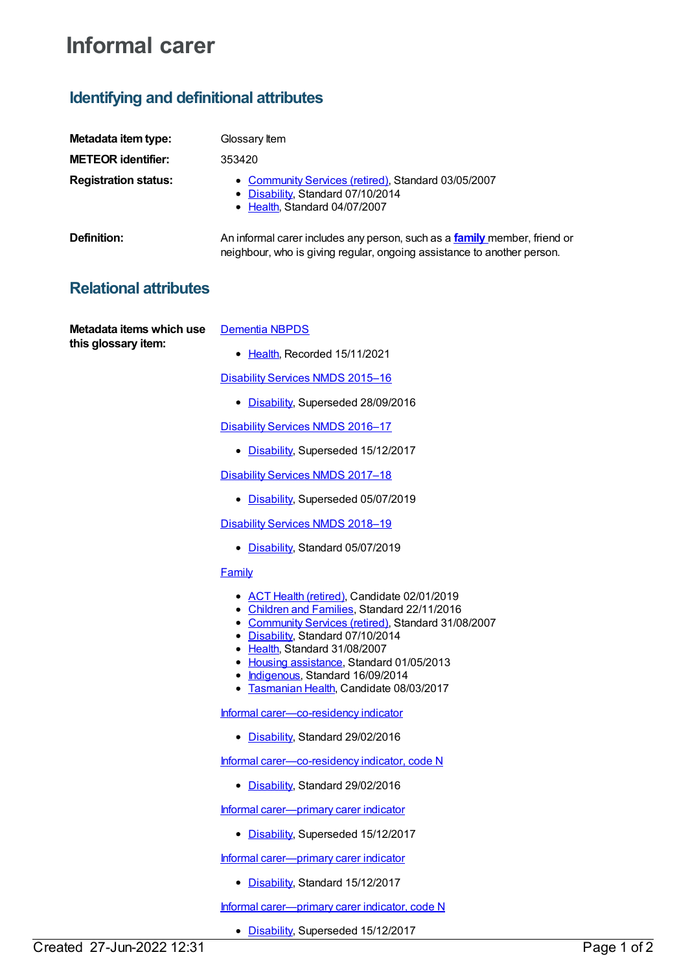# **Informal carer**

## **Identifying and definitional attributes**

| Metadata item type:         | Glossary Item                                                                                                                                               |
|-----------------------------|-------------------------------------------------------------------------------------------------------------------------------------------------------------|
| <b>METEOR identifier:</b>   | 353420                                                                                                                                                      |
| <b>Registration status:</b> | • Community Services (retired), Standard 03/05/2007<br>• Disability, Standard 07/10/2014<br>• Health, Standard 04/07/2007                                   |
| Definition:                 | An informal carer includes any person, such as a <b>family</b> member, friend or<br>neighbour, who is giving regular, ongoing assistance to another person. |

### **Relational attributes**

**Metadata items which use this glossary item:**

- [Dementia](https://meteor.aihw.gov.au/content/737872) NBPDS
	- [Health](https://meteor.aihw.gov.au/RegistrationAuthority/12), Recorded 15/11/2021

[Disability](https://meteor.aihw.gov.au/content/617391) Services NMDS 2015–16

• [Disability](https://meteor.aihw.gov.au/RegistrationAuthority/16), Superseded 28/09/2016

[Disability](https://meteor.aihw.gov.au/content/637867) Services NMDS 2016–17

• [Disability](https://meteor.aihw.gov.au/RegistrationAuthority/16), Superseded 15/12/2017

[Disability](https://meteor.aihw.gov.au/content/664954) Services NMDS 2017-18

• [Disability](https://meteor.aihw.gov.au/RegistrationAuthority/16), Superseded 05/07/2019

[Disability](https://meteor.aihw.gov.au/content/698074) Services NMDS 2018-19

• [Disability](https://meteor.aihw.gov.au/RegistrationAuthority/16), Standard 05/07/2019

### **[Family](https://meteor.aihw.gov.au/content/351499)**

- ACT Health [\(retired\)](https://meteor.aihw.gov.au/RegistrationAuthority/9), Candidate 02/01/2019
- [Children](https://meteor.aihw.gov.au/RegistrationAuthority/17) and Families, Standard 22/11/2016
- [Community](https://meteor.aihw.gov.au/RegistrationAuthority/1) Services (retired), Standard 31/08/2007
- [Disability](https://meteor.aihw.gov.au/RegistrationAuthority/16), Standard 07/10/2014
- [Health](https://meteor.aihw.gov.au/RegistrationAuthority/12), Standard 31/08/2007
- Housing [assistance](https://meteor.aihw.gov.au/RegistrationAuthority/11), Standard 01/05/2013
- [Indigenous](https://meteor.aihw.gov.au/RegistrationAuthority/6), Standard 16/09/2014
- **[Tasmanian](https://meteor.aihw.gov.au/RegistrationAuthority/15) Health, Candidate 08/03/2017**

Informal [carer—co-residency](https://meteor.aihw.gov.au/content/621306) indicator

[Disability](https://meteor.aihw.gov.au/RegistrationAuthority/16), Standard 29/02/2016

Informal [carer—co-residency](https://meteor.aihw.gov.au/content/621304) indicator, code N

• [Disability](https://meteor.aihw.gov.au/RegistrationAuthority/16), Standard 29/02/2016

Informal [carer—primary](https://meteor.aihw.gov.au/content/621210) carer indicator

• [Disability](https://meteor.aihw.gov.au/RegistrationAuthority/16), Superseded 15/12/2017

Informal [carer—primary](https://meteor.aihw.gov.au/content/681050) carer indicator

• [Disability](https://meteor.aihw.gov.au/RegistrationAuthority/16), Standard 15/12/2017

Informal [carer—primary](https://meteor.aihw.gov.au/content/621197) carer indicator, code N

• [Disability](https://meteor.aihw.gov.au/RegistrationAuthority/16), Superseded 15/12/2017